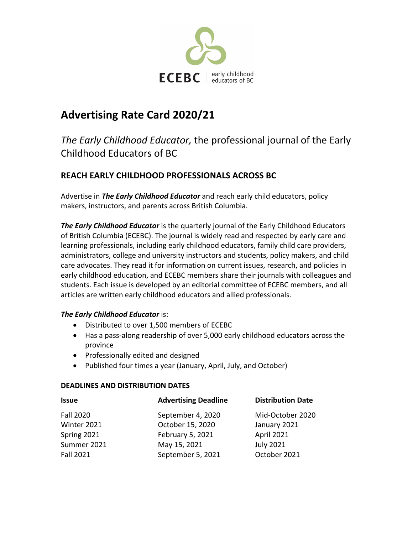

# **Advertising Rate Card 2020/21**

## *The Early Childhood Educator,* the professional journal of the Early Childhood Educators of BC

## **REACH EARLY CHILDHOOD PROFESSIONALS ACROSS BC**

Advertise in *The Early Childhood Educator* and reach early child educators, policy makers, instructors, and parents across British Columbia.

*The Early Childhood Educator* is the quarterly journal of the Early Childhood Educators of British Columbia (ECEBC). The journal is widely read and respected by early care and learning professionals, including early childhood educators, family child care providers, administrators, college and university instructors and students, policy makers, and child care advocates. They read it for information on current issues, research, and policies in early childhood education, and ECEBC members share their journals with colleagues and students. Each issue is developed by an editorial committee of ECEBC members, and all articles are written early childhood educators and allied professionals.

#### *The Early Childhood Educator* is:

- Distributed to over 1,500 members of ECEBC
- Has a pass-along readership of over 5,000 early childhood educators across the province
- Professionally edited and designed
- Published four times a year (January, April, July, and October)

#### **DEADLINES AND DISTRIBUTION DATES**

| <b>Issue</b>     | <b>Advertising Deadline</b> | <b>Distribution Date</b> |
|------------------|-----------------------------|--------------------------|
| <b>Fall 2020</b> | September 4, 2020           | Mid-October 2020         |
| Winter 2021      | October 15, 2020            | January 2021             |
| Spring 2021      | February 5, 2021            | April 2021               |
| Summer 2021      | May 15, 2021                | <b>July 2021</b>         |
| <b>Fall 2021</b> | September 5, 2021           | October 2021             |